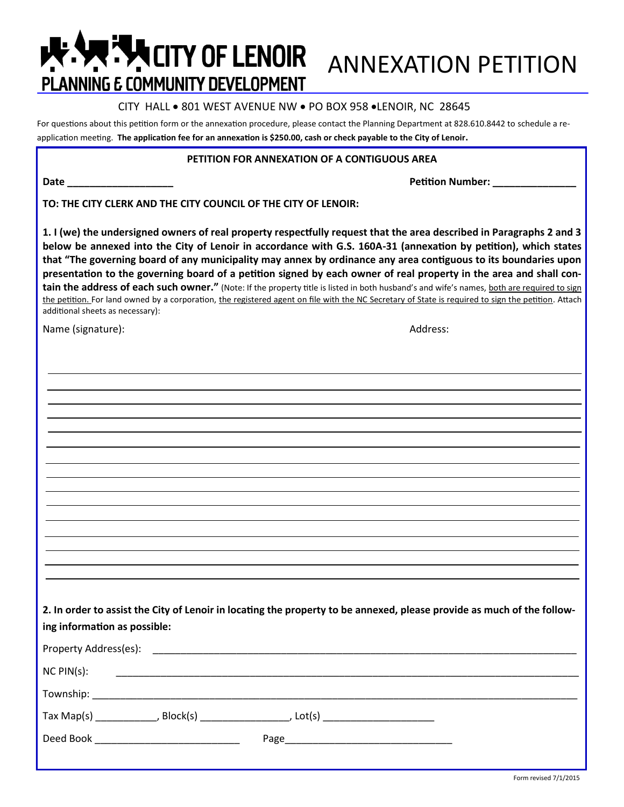# **ANNEXATION PETITION PLANNING E COMMUNITY DEVELOPMENT**

# CITY HALL . 801 WEST AVENUE NW . PO BOX 958 . LENOIR, NC 28645

For questions about this petition form or the annexation procedure, please contact the Planning Department at 828.610.8442 to schedule a reapplication meeting. **The application fee for an annexation is \$250.00, cash or check payable to the City of Lenoir.**

## **PETITION FOR ANNEXATION OF A CONTIGUOUS AREA**

**Date \_\_\_\_\_\_\_\_\_\_\_\_\_\_\_\_\_\_\_ Petition Number: \_\_\_\_\_\_\_\_\_\_\_\_\_\_\_**

**TO: THE CITY CLERK AND THE CITY COUNCIL OF THE CITY OF LENOIR:**

**1. I (we) the undersigned owners of real property respectfully request that the area described in Paragraphs 2 and 3 below be annexed into the City of Lenoir in accordance with G.S. 160A-31 (annexation by petition), which states that "The governing board of any municipality may annex by ordinance any area contiguous to its boundaries upon presentation to the governing board of a petition signed by each owner of real property in the area and shall contain the address of each such owner."** (Note: If the property title is listed in both husband's and wife's names, both are required to sign the petition. For land owned by a corporation, the registered agent on file with the NC Secretary of State is required to sign the petition. Attach additional sheets as necessary):

Name (signature): Address:

**2. In order to assist the City of Lenoir in locating the property to be annexed, please provide as much of the following information as possible:**

| Property Address(es):                                                    |                                    |
|--------------------------------------------------------------------------|------------------------------------|
| $NC$ $PIN(s)$ :                                                          |                                    |
|                                                                          |                                    |
| $\mathsf{T}$ ax Map(s)<br>Block(s)                                       | , Lot(s) _________________________ |
| Deed Book<br>the control of the control of the control of the control of |                                    |